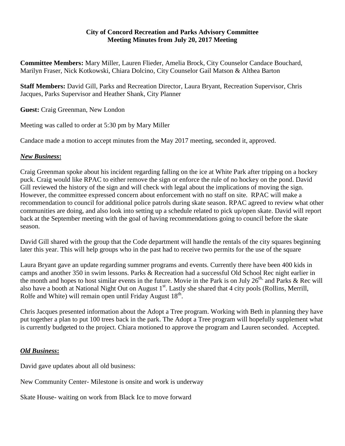## **City of Concord Recreation and Parks Advisory Committee Meeting Minutes from July 20, 2017 Meeting**

**Committee Members:** Mary Miller, Lauren Flieder, Amelia Brock, City Counselor Candace Bouchard, Marilyn Fraser, Nick Kotkowski, Chiara Dolcino, City Counselor Gail Matson & Althea Barton

**Staff Members:** David Gill, Parks and Recreation Director, Laura Bryant, Recreation Supervisor, Chris Jacques, Parks Supervisor and Heather Shank, City Planner

**Guest:** Craig Greenman, New London

Meeting was called to order at 5:30 pm by Mary Miller

Candace made a motion to accept minutes from the May 2017 meeting, seconded it, approved.

## *New Business***:**

Craig Greenman spoke about his incident regarding falling on the ice at White Park after tripping on a hockey puck. Craig would like RPAC to either remove the sign or enforce the rule of no hockey on the pond. David Gill reviewed the history of the sign and will check with legal about the implications of moving the sign. However, the committee expressed concern about enforcement with no staff on site. RPAC will make a recommendation to council for additional police patrols during skate season. RPAC agreed to review what other communities are doing, and also look into setting up a schedule related to pick up/open skate. David will report back at the September meeting with the goal of having recommendations going to council before the skate season.

David Gill shared with the group that the Code department will handle the rentals of the city squares beginning later this year. This will help groups who in the past had to receive two permits for the use of the square

Laura Bryant gave an update regarding summer programs and events. Currently there have been 400 kids in camps and another 350 in swim lessons. Parks & Recreation had a successful Old School Rec night earlier in the month and hopes to host similar events in the future. Movie in the Park is on July  $26^{th}$ , and Parks & Rec will also have a booth at National Night Out on August 1<sup>st</sup>. Lastly she shared that 4 city pools (Rollins, Merrill, Rolfe and White) will remain open until Friday August  $18<sup>th</sup>$ .

Chris Jacques presented information about the Adopt a Tree program. Working with Beth in planning they have put together a plan to put 100 trees back in the park. The Adopt a Tree program will hopefully supplement what is currently budgeted to the project. Chiara motioned to approve the program and Lauren seconded. Accepted.

## *Old Business***:**

David gave updates about all old business:

New Community Center- Milestone is onsite and work is underway

Skate House- waiting on work from Black Ice to move forward